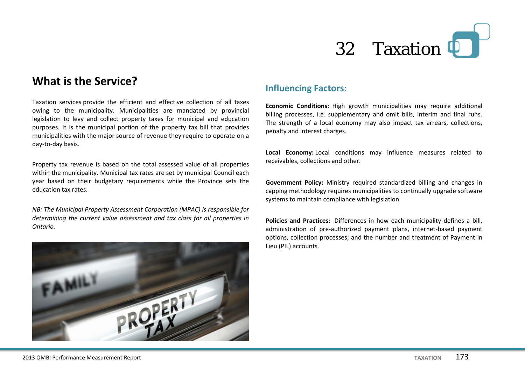

## **What is the Service?**

Taxation services provide the efficient and effective collection of all taxes owing to the municipality. Municipalities are mandated by provincial legislation to levy and collect property taxes for municipal and education purposes. It is the municipal portion of the property tax bill that provides municipalities with the major source of revenue they require to operate on a day-to-day basis.

Property tax revenue is based on the total assessed value of all properties within the municipality. Municipal tax rates are set by municipal Council each year based on their budgetary requirements while the Province sets the education tax rates.

*NB: The Municipal Property Assessment Corporation (MPAC) is responsible for determining the current value assessment and tax class for all properties in Ontario.*



#### **Influencing Factors:**

**Economic Conditions:** High growth municipalities may require additional billing processes, i.e. supplementary and omit bills, interim and final runs. The strength of a local economy may also impact tax arrears, collections, penalty and interest charges.

**Local Economy:** Local conditions may influence measures related to receivables, collections and other.

**Government Policy:** Ministry required standardized billing and changes in capping methodology requires municipalities to continually upgrade software systems to maintain compliance with legislation.

**Policies and Practices:** Differences in how each municipality defines a bill, administration of pre-authorized payment plans, internet-based payment options, collection processes; and the number and treatment of Payment in Lieu (PIL) accounts.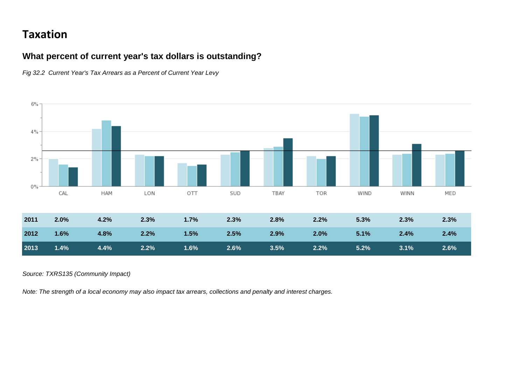# **Taxation**

### **What percent of current year's tax dollars is outstanding?**

*Fig 32.2 Current Year's Tax Arrears as a Percent of Current Year Levy*



*Source: TXRS135 (Community Impact)*

*Note: The strength of a local economy may also impact tax arrears, collections and penalty and interest charges.*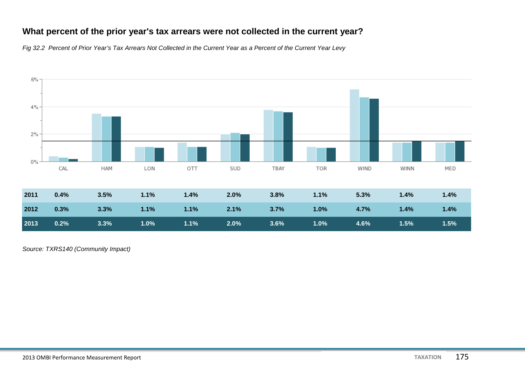### **What percent of the prior year's tax arrears were not collected in the current year?**

*Fig 32.2 Percent of Prior Year's Tax Arrears Not Collected in the Current Year as a Percent of the Current Year Levy*



*Source: TXRS140 (Community Impact)*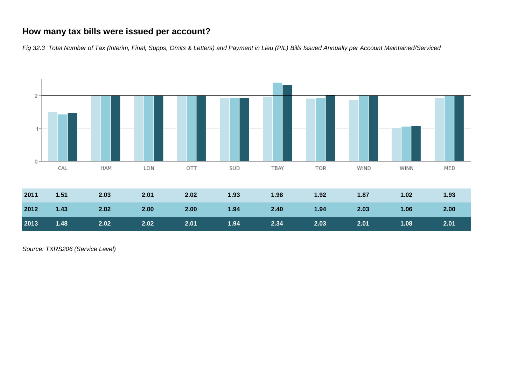#### **How many tax bills were issued per account?**

*Fig 32.3 Total Number of Tax (Interim, Final, Supps, Omits & Letters) and Payment in Lieu (PIL) Bills Issued Annually per Account Maintained/Serviced*



*Source: TXRS206 (Service Level)*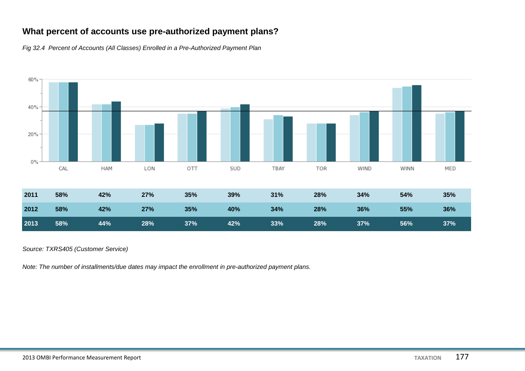## **What percent of accounts use pre-authorized payment plans?**

*Fig 32.4 Percent of Accounts (All Classes) Enrolled in a Pre-Authorized Payment Plan*



*Source: TXRS405 (Customer Service)*

*Note: The number of installments/due dates may impact the enrollment in pre-authorized payment plans.*